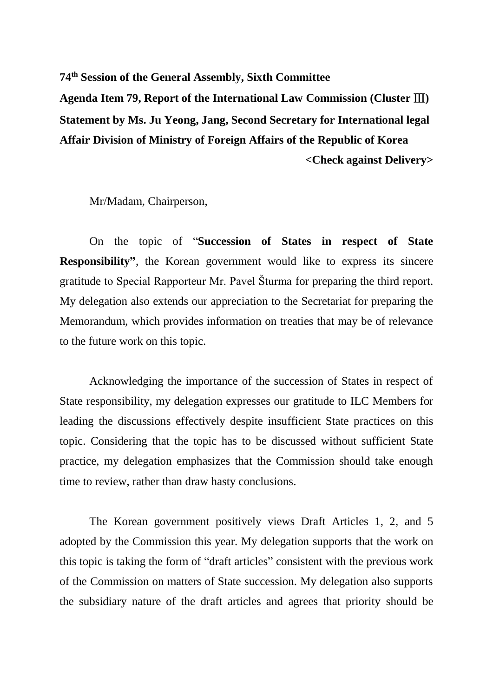**74th Session of the General Assembly, Sixth Committee Agenda Item 79, Report of the International Law Commission (Cluster** Ⅲ**) Statement by Ms. Ju Yeong, Jang, Second Secretary for International legal Affair Division of Ministry of Foreign Affairs of the Republic of Korea <Check against Delivery>**

Mr/Madam, Chairperson,

On the topic of "**Succession of States in respect of State Responsibility"**, the Korean government would like to express its sincere gratitude to Special Rapporteur Mr. Pavel Šturma for preparing the third report. My delegation also extends our appreciation to the Secretariat for preparing the Memorandum, which provides information on treaties that may be of relevance to the future work on this topic.

Acknowledging the importance of the succession of States in respect of State responsibility, my delegation expresses our gratitude to ILC Members for leading the discussions effectively despite insufficient State practices on this topic. Considering that the topic has to be discussed without sufficient State practice, my delegation emphasizes that the Commission should take enough time to review, rather than draw hasty conclusions.

The Korean government positively views Draft Articles 1, 2, and 5 adopted by the Commission this year. My delegation supports that the work on this topic is taking the form of "draft articles" consistent with the previous work of the Commission on matters of State succession. My delegation also supports the subsidiary nature of the draft articles and agrees that priority should be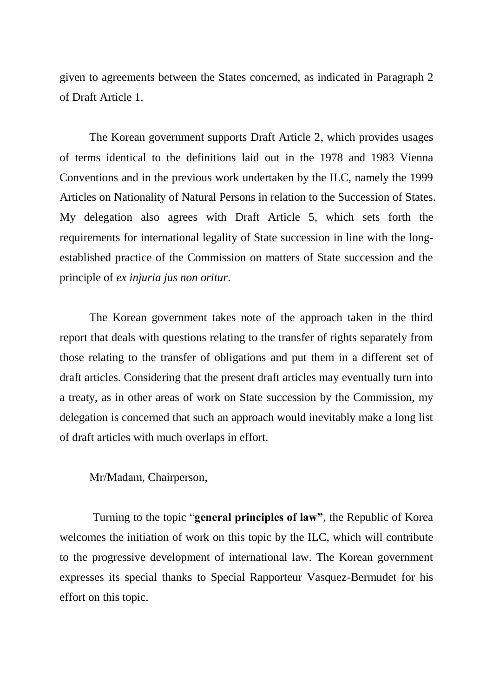given to agreements between the States concerned, as indicated in Paragraph 2 of Draft Article 1.

The Korean government supports Draft Article 2, which provides usages of terms identical to the definitions laid out in the 1978 and 1983 Vienna Conventions and in the previous work undertaken by the ILC, namely the 1999 Articles on Nationality of Natural Persons in relation to the Succession of States. My delegation also agrees with Draft Article 5, which sets forth the requirements for international legality of State succession in line with the longestablished practice of the Commission on matters of State succession and the principle of *ex injuria jus non oritur*.

The Korean government takes note of the approach taken in the third report that deals with questions relating to the transfer of rights separately from those relating to the transfer of obligations and put them in a different set of draft articles. Considering that the present draft articles may eventually turn into a treaty, as in other areas of work on State succession by the Commission, my delegation is concerned that such an approach would inevitably make a long list of draft articles with much overlaps in effort.

## Mr/Madam, Chairperson,

Turning to the topic "**general principles of law"**, the Republic of Korea welcomes the initiation of work on this topic by the ILC, which will contribute to the progressive development of international law. The Korean government expresses its special thanks to Special Rapporteur Vasquez-Bermudet for his effort on this topic.